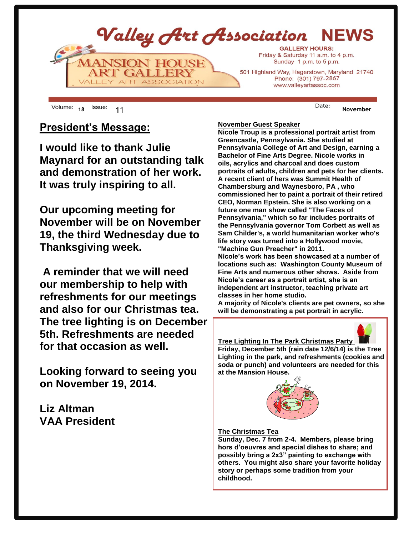

18 <sup>ISSUE:</sup> 11 **November** 

## **President's Message:**

**I would like to thank Julie Maynard for an outstanding talk and demonstration of her work. It was truly inspiring to all.** 

**Our upcoming meeting for November will be on November 19, the third Wednesday due to Thanksgiving week.** 

**A reminder that we will need our membership to help with refreshments for our meetings and also for our Christmas tea. The tree lighting is on December 5th. Refreshments are needed for that occasion as well.** 

**Looking forward to seeing you on November 19, 2014.**

**Liz Altman VAA President**

### **November Guest Speaker**

**Nicole Troup is a professional portrait artist from Greencastle, Pennsylvania. She studied at Pennsylvania College of Art and Design, earning a Bachelor of Fine Arts Degree. Nicole works in oils, acrylics and charcoal and does custom portraits of adults, children and pets for her clients. A recent client of hers was Summit Health of Chambersburg and Waynesboro, PA , who commissioned her to paint a portrait of their retired CEO, Norman Epstein. She is also working on a future one man show called "The Faces of Pennsylvania," which so far includes portraits of the Pennsylvania governor Tom Corbett as well as Sam Childer's, a world humanitarian worker who's life story was turned into a Hollywood movie, "Machine Gun Preacher" in 2011.**

**Nicole's work has been showcased at a number of locations such as: Washington County Museum of Fine Arts and numerous other shows. Aside from Nicole's career as a portrait artist, she is an independent art instructor, teaching private art classes in her home studio.**

**A majority of Nicole's clients are pet owners, so she will be demonstrating a pet portrait in acrylic.**



**Tree Lighting In The Park Christmas Party Friday, December 5th (rain date 12/6/14) is the Tree Lighting in the park, and refreshments (cookies and soda or punch) and volunteers are needed for this at the Mansion House.** 



#### **The Christmas Tea**

**Sunday, Dec. 7 from 2-4. Members, please bring hors d'oeuvres and special dishes to share; and possibly bring a 2x3" painting to exchange with others. You might also share your favorite holiday story or perhaps some tradition from your childhood.**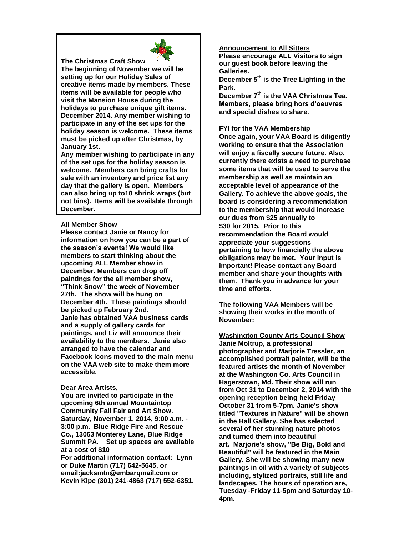

#### **The Christmas Craft Show**

**The beginning of November we will be setting up for our Holiday Sales of creative items made by members. These items will be available for people who visit the Mansion House during the holidays to purchase unique gift items. December 2014. Any member wishing to participate in any of the set ups for the holiday season is welcome. These items must be picked up after Christmas, by January 1st.**

**Any member wishing to participate in any of the set ups for the holiday season is welcome. Members can bring crafts for sale with an inventory and price list any day that the gallery is open. Members can also bring up to10 shrink wraps (but not bins). Items will be available through December.**

#### **All Member Show**

**Please contact Janie or Nancy for information on how you can be a part of the season's events! We would like members to start thinking about the upcoming ALL Member show in December. Members can drop off paintings for the all member show, "Think Snow" the week of November 27th. The show will be hung on December 4th. These paintings should be picked up February 2nd. Janie has obtained VAA business cards and a supply of gallery cards for paintings, and Liz will announce their availability to the members. Janie also arranged to have the calendar and Facebook icons moved to the main menu on the VAA web site to make them more accessible.** 

#### **Dear Area Artists,**

**You are invited to participate in the upcoming 6th annual Mountaintop Community Fall Fair and Art Show. Saturday, November 1, 2014, 9:00 a.m. - 3:00 p.m. Blue Ridge Fire and Rescue Co., 13063 Monterey Lane, Blue Ridge Summit PA. Set up spaces are available at a cost of \$10** 

**For additional information contact: Lynn or Duke Martin (717) 642-5645, or email:jacksmtn@embarqmail.com or Kevin Kipe (301) 241-4863 (717) 552-6351.**

#### **Announcement to All Sitters**

**Please encourage ALL Visitors to sign our guest book before leaving the Galleries.**

**December 5th is the Tree Lighting in the Park.**

**December 7th is the VAA Christmas Tea. Members, please bring hors d'oeuvres and special dishes to share.**

#### **FYI for the VAA Membership**

**Once again, your VAA Board is diligently working to ensure that the Association will enjoy a fiscally secure future. Also, currently there exists a need to purchase some items that will be used to serve the membership as well as maintain an acceptable level of appearance of the Gallery. To achieve the above goals, the board is considering a recommendation to the membership that would increase our dues from \$25 annually to \$30 for 2015. Prior to this recommendation the Board would appreciate your suggestions pertaining to how financially the above obligations may be met. Your input is important! Please contact any Board member and share your thoughts with them. Thank you in advance for your time and efforts.**

**The following VAA Members will be showing their works in the month of November:**

#### **Washington County Arts Council Show**

**Janie Moltrup, a professional photographer and Marjorie Tressler, an accomplished portrait painter, will be the featured artists the month of November at the Washington Co. Arts Council in Hagerstown, Md. Their show will run from Oct 31 to December 2, 2014 with the opening reception being held Friday October 31 from 5-7pm. Janie's show titled "Textures in Nature" will be shown in the Hall Gallery. She has selected several of her stunning nature photos and turned them into beautiful art. Marjorie's show, "Be Big, Bold and Beautiful" will be featured in the Main Gallery. She will be showing many new paintings in oil with a variety of subjects including, stylized portraits, still life and landscapes. The hours of operation are, Tuesday -Friday 11-5pm and Saturday 10- 4pm.**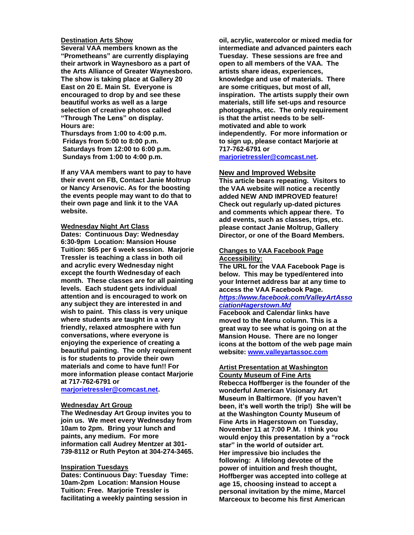#### **Destination Arts Show**

**Several VAA members known as the "Prometheans" are currently displaying their artwork in Waynesboro as a part of the Arts Alliance of Greater Waynesboro. The show is taking place at Gallery 20 East on 20 E. Main St. Everyone is encouraged to drop by and see these beautiful works as well as a large selection of creative photos called "Through The Lens" on display. Hours are:**

**Thursdays from 1:00 to 4:00 p.m. Fridays from 5:00 to 8:00 p.m. Saturdays from 12:00 to 6:00 p.m. Sundays from 1:00 to 4:00 p.m.**

**If any VAA members want to pay to have their event on FB, Contact Janie Moltrup or Nancy Arsenovic. As for the boosting the events people may want to do that to their own page and link it to the VAA website.**

#### **Wednesday Night Art Class**

**Dates: Continuous Day: Wednesday 6:30-9pm Location: Mansion House Tuition: \$65 per 6 week session. Marjorie Tressler is teaching a class in both oil and acrylic every Wednesday night except the fourth Wednesday of each month. These classes are for all painting levels. Each student gets individual attention and is encouraged to work on any subject they are interested in and wish to paint. This class is very unique where students are taught in a very friendly, relaxed atmosphere with fun conversations, where everyone is enjoying the experience of creating a beautiful painting. The only requirement is for students to provide their own materials and come to have fun!! For more information please contact Marjorie at 717-762-6791 or** 

#### **[marjorietressler@comcast.net.](mailto:marjorietressler@comcast.net)**

#### **Wednesday Art Group**

**The Wednesday Art Group invites you to join us. We meet every Wednesday from 10am to 2pm. Bring your lunch and paints, any medium. For more information call Audrey Mentzer at 301- 739-8112 or Ruth Peyton at 304-274-3465.**

#### **Inspiration Tuesdays**

**Dates: Continuous Day: Tuesday Time: 10am-2pm Location: Mansion House Tuition: Free. Marjorie Tressler is facilitating a weekly painting session in** 

**oil, acrylic, watercolor or mixed media for intermediate and advanced painters each Tuesday. These sessions are free and open to all members of the VAA. The artists share ideas, experiences, knowledge and use of materials. There are some critiques, but most of all, inspiration. The artists supply their own materials, still life set-ups and resource photographs, etc. The only requirement is that the artist needs to be selfmotivated and able to work independently. For more information or to sign up, please contact Marjorie at 717-762-6791 or** 

**[marjorietressler@comcast.net.](mailto:marjorietressler@comcast.net)**

#### **New and Improved Website**

**This article bears repeating. Visitors to the VAA website will notice a recently added NEW AND IMPROVED feature! Check out regularly up-dated pictures and comments which appear there. To add events, such as classes, trips, etc. please contact Janie Moltrup, Gallery Director, or one of the Board Members.**

#### **Changes to VAA Facebook Page Accessibility:**

**The URL for the VAA Facebook Page is below. This may be typed/entered into your Internet address bar at any time to access the VAA Facebook Page.** *[https://www.facebook.com/ValleyArtAsso](https://www.facebook.com/ValleyArtAssociationHagerstown.Md)*

## *[ciationHagerstown.Md](https://www.facebook.com/ValleyArtAssociationHagerstown.Md)*

**Facebook and Calendar links have moved to the Menu column. This is a great way to see what is going on at the Mansion House. There are no longer icons at the bottom of the web page main website: [www.valleyartassoc.com](http://www.valleyartassoc.com/)**

#### **Artist Presentation at Washington County Museum of Fine Arts**

**Rebecca Hoffberger is the founder of the wonderful American Visionary Art Museum in Baltirmore. (If you haven't been, it's well worth the trip!) She will be at the Washington County Museum of Fine Arts in Hagerstown on Tuesday, November 11 at 7:00 P.M. I think you would enjoy this presentation by a "rock star" in the world of outsider art. Her impressive bio includes the following: A lifelong devotee of the power of intuition and fresh thought, Hoffberger was accepted into college at age 15, choosing instead to accept a personal invitation by the mime, Marcel Marceoux to become his first American**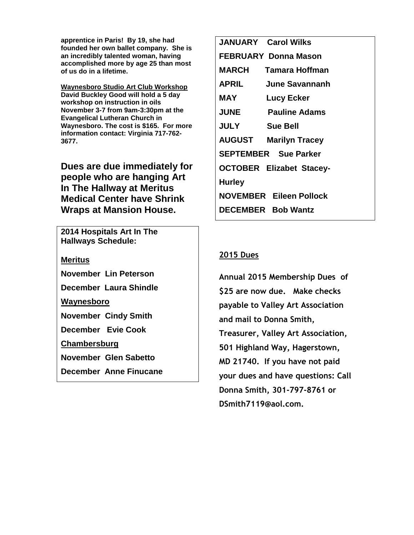**apprentice in Paris! By 19, she had founded her own ballet company. She is an incredibly talented woman, having accomplished more by age 25 than most of us do in a lifetime.** 

**Waynesboro Studio Art Club Workshop David Buckley Good will hold a 5 day workshop on instruction in oils November 3-7 from 9am-3:30pm at the Evangelical Lutheran Church in Waynesboro. The cost is \$165. For more information contact: Virginia 717-762- 3677.**

**Dues are due immediately for people who are hanging Art In The Hallway at Meritus Medical Center have Shrink Wraps at Mansion House.**

**2014 Hospitals Art In The Hallways Schedule:**

**Meritus** 

**November Lin Peterson**

**December Laura Shindle**

**Waynesboro**

**November Cindy Smith**

**December Evie Cook**

**Chambersburg**

**November Glen Sabetto**

**December Anne Finucane**

|                                 | <b>JANUARY</b> Carol Wilks   |  |  |
|---------------------------------|------------------------------|--|--|
| FEBRUARY Donna Mason            |                              |  |  |
|                                 | <b>MARCH</b> Tamara Hoffman  |  |  |
| <b>APRIL</b>                    | June Savannanh               |  |  |
| <b>MAY</b>                      | Lucy Ecker                   |  |  |
|                                 | <b>JUNE</b> Pauline Adams    |  |  |
| <b>JULY</b>                     | <b>Sue Bell</b>              |  |  |
|                                 | <b>AUGUST Marilyn Tracey</b> |  |  |
| <b>SEPTEMBER</b> Sue Parker     |                              |  |  |
| <b>OCTOBER Elizabet Stacey-</b> |                              |  |  |
| <b>Hurley</b>                   |                              |  |  |
| <b>NOVEMBER Eileen Pollock</b>  |                              |  |  |
| <b>DECEMBER</b> Bob Wantz       |                              |  |  |

## **2015 Dues**

**Annual 2015 Membership Dues of \$25 are now due. Make checks payable to Valley Art Association and mail to Donna Smith, Treasurer, Valley Art Association, 501 Highland Way, Hagerstown, MD 21740. If you have not paid your dues and have questions: Call Donna Smith, 301-797-8761 or DSmith7119@aol.com.**